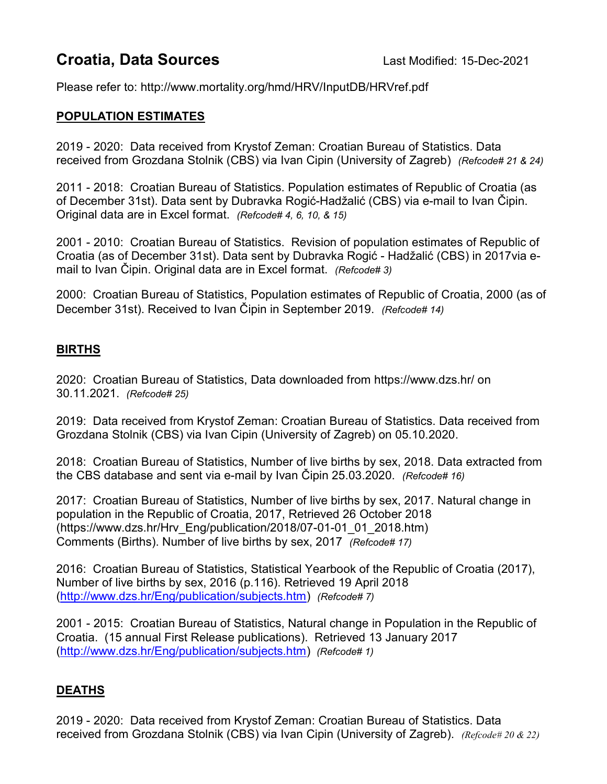## **Croatia, Data Sources** Last Modified: 15-Dec-2021

Please refer to: http://www.mortality.org/hmd/HRV/InputDB/HRVref.pdf

## POPULATION ESTIMATES

2019 - 2020: Data received from Krystof Zeman: Croatian Bureau of Statistics. Data received from Grozdana Stolnik (CBS) via Ivan Cipin (University of Zagreb) (Refcode# 21 & 24)

2011 - 2018: Croatian Bureau of Statistics. Population estimates of Republic of Croatia (as of December 31st). Data sent by Dubravka Rogić-Hadžalić (CBS) via e-mail to Ivan Čipin. Original data are in Excel format. (Refcode# 4, 6, 10, & 15)

2001 - 2010: Croatian Bureau of Statistics. Revision of population estimates of Republic of Croatia (as of December 31st). Data sent by Dubravka Rogić - Hadžalić (CBS) in 2017via email to Ivan Čipin. Original data are in Excel format. (Refcode# 3)

2000: Croatian Bureau of Statistics, Population estimates of Republic of Croatia, 2000 (as of December 31st). Received to Ivan Čipin in September 2019. (Refcode# 14)

## BIRTHS

2020: Croatian Bureau of Statistics, Data downloaded from https://www.dzs.hr/ on 30.11.2021. (Refcode# 25)

2019: Data received from Krystof Zeman: Croatian Bureau of Statistics. Data received from Grozdana Stolnik (CBS) via Ivan Cipin (University of Zagreb) on 05.10.2020.

2018: Croatian Bureau of Statistics, Number of live births by sex, 2018. Data extracted from the CBS database and sent via e-mail by Ivan Čipin 25.03.2020. (Refcode# 16)

2017: Croatian Bureau of Statistics, Number of live births by sex, 2017. Natural change in population in the Republic of Croatia, 2017, Retrieved 26 October 2018 (https://www.dzs.hr/Hrv\_Eng/publication/2018/07-01-01\_01\_2018.htm) Comments (Births). Number of live births by sex, 2017 (Refcode# 17)

2016: Croatian Bureau of Statistics, Statistical Yearbook of the Republic of Croatia (2017), Number of live births by sex, 2016 (p.116). Retrieved 19 April 2018 (http://www.dzs.hr/Eng/publication/subjects.htm) (Refcode# 7)

2001 - 2015: Croatian Bureau of Statistics, Natural change in Population in the Republic of Croatia. (15 annual First Release publications). Retrieved 13 January 2017 (http://www.dzs.hr/Eng/publication/subjects.htm) (Refcode# 1)

## DEATHS

2019 - 2020: Data received from Krystof Zeman: Croatian Bureau of Statistics. Data received from Grozdana Stolnik (CBS) via Ivan Cipin (University of Zagreb). (Refcode# 20 & 22)